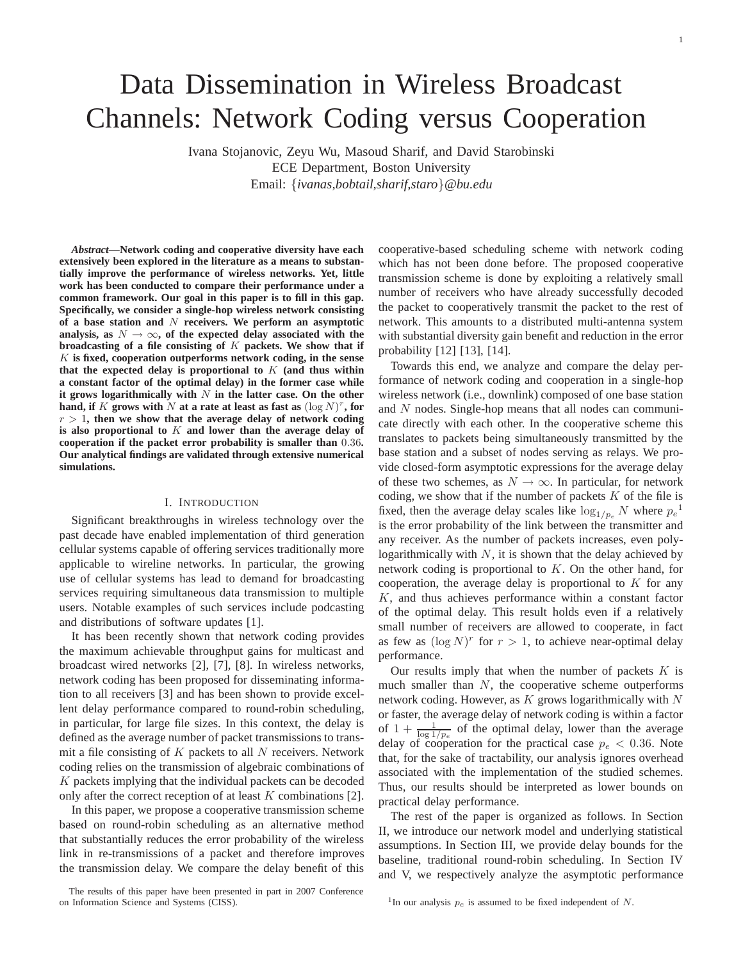# Data Dissemination in Wireless Broadcast Channels: Network Coding versus Cooperation

Ivana Stojanovic, Zeyu Wu, Masoud Sharif, and David Starobinski ECE Department, Boston University Email: {*ivanas,bobtail,sharif,staro*}*@bu.edu*

*Abstract***—Network coding and cooperative diversity have each extensively been explored in the literature as a means to substantially improve the performance of wireless networks. Yet, little work has been conducted to compare their performance under a common framework. Our goal in this paper is to fill in this gap. Specifically, we consider a single-hop wireless network consisting of a base station and** N **receivers. We perform an asymptotic** analysis, as  $N \to \infty$ , of the expected delay associated with the **broadcasting of a file consisting of** K **packets. We show that if** K **is fixed, cooperation outperforms network coding, in the sense that the expected delay is proportional to** K **(and thus within a constant factor of the optimal delay) in the former case while** it grows logarithmically with  $N$  in the latter case. On the other hand, if  $K$  grows with  $N$  at a rate at least as fast as  $(\log N)^r$ , for  $r > 1$ , then we show that the average delay of network coding **is also proportional to** K **and lower than the average delay of cooperation if the packet error probability is smaller than** 0.36**. Our analytical findings are validated through extensive numerical simulations.**

#### I. INTRODUCTION

Significant breakthroughs in wireless technology over the past decade have enabled implementation of third generation cellular systems capable of offering services traditionally more applicable to wireline networks. In particular, the growing use of cellular systems has lead to demand for broadcasting services requiring simultaneous data transmission to multiple users. Notable examples of such services include podcasting and distributions of software updates [1].

It has been recently shown that network coding provides the maximum achievable throughput gains for multicast and broadcast wired networks [2], [7], [8]. In wireless networks, network coding has been proposed for disseminating information to all receivers [3] and has been shown to provide excellent delay performance compared to round-robin scheduling, in particular, for large file sizes. In this context, the delay is defined as the average number of packet transmissions to transmit a file consisting of  $K$  packets to all  $N$  receivers. Network coding relies on the transmission of algebraic combinations of  $K$  packets implying that the individual packets can be decoded only after the correct reception of at least  $K$  combinations [2].

In this paper, we propose a cooperative transmission scheme based on round-robin scheduling as an alternative method that substantially reduces the error probability of the wireless link in re-transmissions of a packet and therefore improves the transmission delay. We compare the delay benefit of this

The results of this paper have been presented in part in 2007 Conference on Information Science and Systems (CISS).

cooperative-based scheduling scheme with network coding which has not been done before. The proposed cooperative transmission scheme is done by exploiting a relatively small number of receivers who have already successfully decoded the packet to cooperatively transmit the packet to the rest of network. This amounts to a distributed multi-antenna system with substantial diversity gain benefit and reduction in the error probability [12] [13], [14].

Towards this end, we analyze and compare the delay performance of network coding and cooperation in a single-hop wireless network (i.e., downlink) composed of one base station and N nodes. Single-hop means that all nodes can communicate directly with each other. In the cooperative scheme this translates to packets being simultaneously transmitted by the base station and a subset of nodes serving as relays. We provide closed-form asymptotic expressions for the average delay of these two schemes, as  $N \to \infty$ . In particular, for network coding, we show that if the number of packets  $K$  of the file is fixed, then the average delay scales like  $\log_{1/p_e} N$  where  $p_e^{\perp}$ is the error probability of the link between the transmitter and any receiver. As the number of packets increases, even polylogarithmically with  $N$ , it is shown that the delay achieved by network coding is proportional to K. On the other hand, for cooperation, the average delay is proportional to  $K$  for any K, and thus achieves performance within a constant factor of the optimal delay. This result holds even if a relatively small number of receivers are allowed to cooperate, in fact as few as  $(\log N)^r$  for  $r > 1$ , to achieve near-optimal delay performance.

Our results imply that when the number of packets  $K$  is much smaller than  $N$ , the cooperative scheme outperforms network coding. However, as  $K$  grows logarithmically with  $N$ or faster, the average delay of network coding is within a factor of  $1 + \frac{1}{\log 1/p_e}$  of the optimal delay, lower than the average delay of cooperation for the practical case  $p_e < 0.36$ . Note that, for the sake of tractability, our analysis ignores overhead associated with the implementation of the studied schemes. Thus, our results should be interpreted as lower bounds on practical delay performance.

The rest of the paper is organized as follows. In Section II, we introduce our network model and underlying statistical assumptions. In Section III, we provide delay bounds for the baseline, traditional round-robin scheduling. In Section IV and V, we respectively analyze the asymptotic performance

<sup>&</sup>lt;sup>1</sup>In our analysis  $p_e$  is assumed to be fixed independent of N.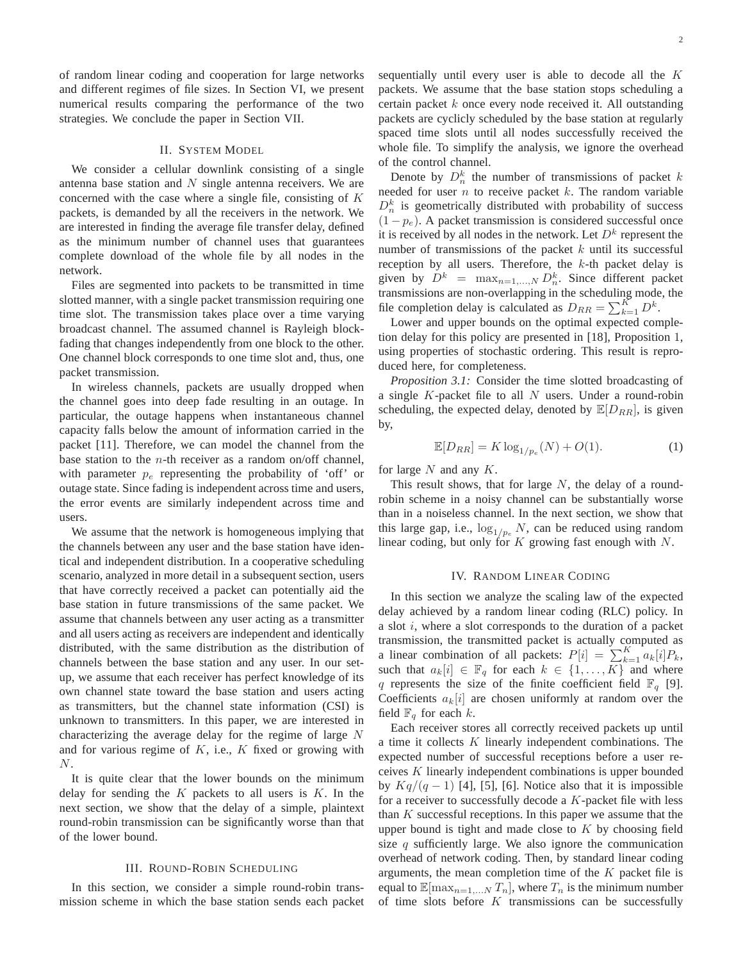of random linear coding and cooperation for large networks and different regimes of file sizes. In Section VI, we present numerical results comparing the performance of the two strategies. We conclude the paper in Section VII.

# II. SYSTEM MODEL

We consider a cellular downlink consisting of a single antenna base station and  $N$  single antenna receivers. We are concerned with the case where a single file, consisting of  $K$ packets, is demanded by all the receivers in the network. We are interested in finding the average file transfer delay, defined as the minimum number of channel uses that guarantees complete download of the whole file by all nodes in the network.

Files are segmented into packets to be transmitted in time slotted manner, with a single packet transmission requiring one time slot. The transmission takes place over a time varying broadcast channel. The assumed channel is Rayleigh blockfading that changes independently from one block to the other. One channel block corresponds to one time slot and, thus, one packet transmission.

In wireless channels, packets are usually dropped when the channel goes into deep fade resulting in an outage. In particular, the outage happens when instantaneous channel capacity falls below the amount of information carried in the packet [11]. Therefore, we can model the channel from the base station to the  $n$ -th receiver as a random on/off channel, with parameter  $p_e$  representing the probability of 'off' or outage state. Since fading is independent across time and users, the error events are similarly independent across time and users.

We assume that the network is homogeneous implying that the channels between any user and the base station have identical and independent distribution. In a cooperative scheduling scenario, analyzed in more detail in a subsequent section, users that have correctly received a packet can potentially aid the base station in future transmissions of the same packet. We assume that channels between any user acting as a transmitter and all users acting as receivers are independent and identically distributed, with the same distribution as the distribution of channels between the base station and any user. In our setup, we assume that each receiver has perfect knowledge of its own channel state toward the base station and users acting as transmitters, but the channel state information (CSI) is unknown to transmitters. In this paper, we are interested in characterizing the average delay for the regime of large N and for various regime of  $K$ , i.e.,  $K$  fixed or growing with N.

It is quite clear that the lower bounds on the minimum delay for sending the  $K$  packets to all users is  $K$ . In the next section, we show that the delay of a simple, plaintext round-robin transmission can be significantly worse than that of the lower bound.

## III. ROUND-ROBIN SCHEDULING

In this section, we consider a simple round-robin transmission scheme in which the base station sends each packet sequentially until every user is able to decode all the K packets. We assume that the base station stops scheduling a certain packet k once every node received it. All outstanding packets are cyclicly scheduled by the base station at regularly spaced time slots until all nodes successfully received the whole file. To simplify the analysis, we ignore the overhead of the control channel.

Denote by  $D_n^k$  the number of transmissions of packet k needed for user  $n$  to receive packet  $k$ . The random variable  $D_n^k$  is geometrically distributed with probability of success  $(1-p_e)$ . A packet transmission is considered successful once it is received by all nodes in the network. Let  $D<sup>k</sup>$  represent the number of transmissions of the packet  $k$  until its successful reception by all users. Therefore, the  $k$ -th packet delay is given by  $D^k = \max_{n=1,...,N} D_n^k$ . Since different packet transmissions are non-overlapping in the scheduling mode, the file completion delay is calculated as  $D_{RR} = \sum_{k=1}^{K} D^k$ .

Lower and upper bounds on the optimal expected completion delay for this policy are presented in [18], Proposition 1, using properties of stochastic ordering. This result is reproduced here, for completeness.

*Proposition 3.1:* Consider the time slotted broadcasting of a single K-packet file to all  $N$  users. Under a round-robin scheduling, the expected delay, denoted by  $\mathbb{E}[D_{RR}]$ , is given by,

$$
\mathbb{E}[D_{RR}] = K \log_{1/p_e}(N) + O(1). \tag{1}
$$

for large  $N$  and any  $K$ .

This result shows, that for large  $N$ , the delay of a roundrobin scheme in a noisy channel can be substantially worse than in a noiseless channel. In the next section, we show that this large gap, i.e.,  $\log_{1/p_e} N$ , can be reduced using random linear coding, but only for  $K$  growing fast enough with  $N$ .

#### IV. RANDOM LINEAR CODING

In this section we analyze the scaling law of the expected delay achieved by a random linear coding (RLC) policy. In a slot  $i$ , where a slot corresponds to the duration of a packet transmission, the transmitted packet is actually computed as a linear combination of all packets:  $P[i] = \sum_{k=1}^{K} a_k[i] P_k$ , such that  $a_k[i] \in \mathbb{F}_q$  for each  $k \in \{1, ..., K\}$  and where q represents the size of the finite coefficient field  $\mathbb{F}_q$  [9]. Coefficients  $a_k[i]$  are chosen uniformly at random over the field  $\mathbb{F}_q$  for each k.

Each receiver stores all correctly received packets up until a time it collects K linearly independent combinations. The expected number of successful receptions before a user receives K linearly independent combinations is upper bounded by  $Kq/(q-1)$  [4], [5], [6]. Notice also that it is impossible for a receiver to successfully decode a  $K$ -packet file with less than  $K$  successful receptions. In this paper we assume that the upper bound is tight and made close to  $K$  by choosing field size  $q$  sufficiently large. We also ignore the communication overhead of network coding. Then, by standard linear coding arguments, the mean completion time of the  $K$  packet file is equal to  $\mathbb{E}[\max_{n=1,...N} T_n]$ , where  $T_n$  is the minimum number of time slots before  $K$  transmissions can be successfully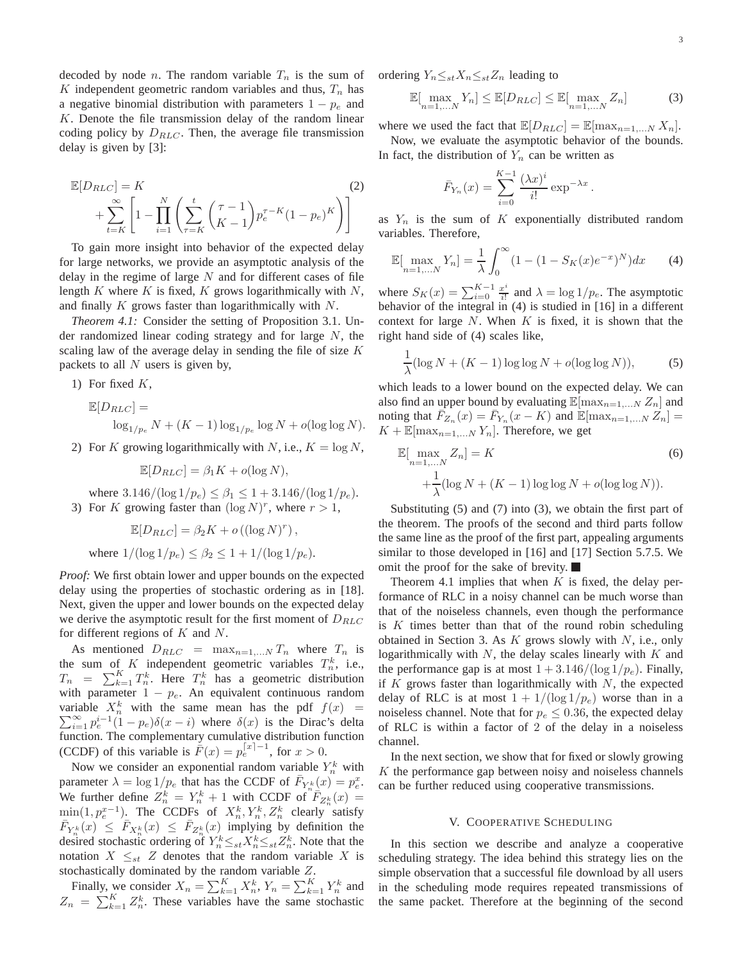decoded by node *n*. The random variable  $T_n$  is the sum of K independent geometric random variables and thus,  $T_n$  has a negative binomial distribution with parameters  $1 - p_e$  and  $K$ . Denote the file transmission delay of the random linear coding policy by  $D_{RLC}$ . Then, the average file transmission delay is given by [3]:

$$
\mathbb{E}[D_{RLC}] = K
$$
\n
$$
+ \sum_{t=K}^{\infty} \left[ 1 - \prod_{i=1}^{N} \left( \sum_{\tau=K}^{t} \binom{\tau-1}{K-1} p_e^{\tau-K} (1-p_e)^K \right) \right]
$$
\n(2)

To gain more insight into behavior of the expected delay for large networks, we provide an asymptotic analysis of the delay in the regime of large  $N$  and for different cases of file length K where K is fixed, K grows logarithmically with  $N$ , and finally  $K$  grows faster than logarithmically with  $N$ .

*Theorem 4.1:* Consider the setting of Proposition 3.1. Under randomized linear coding strategy and for large  $N$ , the scaling law of the average delay in sending the file of size  $K$ packets to all  $N$  users is given by,

1) For fixed  $K$ ,

$$
\mathbb{E}[D_{RLC}] = \log_{1/p_e} N + (K-1)\log_{1/p_e} \log N + o(\log \log N).
$$

2) For K growing logarithmically with N, i.e.,  $K = \log N$ ,

$$
\mathbb{E}[D_{RLC}] = \beta_1 K + o(\log N),
$$

where  $3.146/(\log 1/p_e) \le \beta_1 \le 1 + 3.146/(\log 1/p_e)$ . 3) For K growing faster than  $(\log N)^r$ , where  $r > 1$ ,

$$
\mathbb{E}[D_{RLC}] = \beta_2 K + o\left((\log N)^r\right),\,
$$

where  $1/(\log 1/p_e) \le \beta_2 \le 1 + 1/(\log 1/p_e)$ .

*Proof:* We first obtain lower and upper bounds on the expected delay using the properties of stochastic ordering as in [18]. Next, given the upper and lower bounds on the expected delay we derive the asymptotic result for the first moment of  $D_{RLC}$ for different regions of  $K$  and  $N$ .

As mentioned  $D_{RLC}$  =  $\max_{n=1,...N} T_n$  where  $T_n$  is the sum of K independent geometric variables  $T_n^k$ , i.e.,  $T_n = \sum_{k=1}^{K} T_n^k$ . Here  $T_n^k$  has a geometric distribution with parameter  $1 - p_e$ . An equivalent continuous random variable  $X_n^k$  with the same mean has the pdf  $f(x)$  = variable  $X_n^k$  with the same mean has the pdf  $f(x) = \sum_{i=1}^{\infty} p_e^{i-1} (1 - p_e) \delta(x - i)$  where  $\delta(x)$  is the Dirac's delta function. The complementary cumulative distribution function (CCDF) of this variable is  $\overline{F}(x) = p_e^{[x]-1}$ , for  $x > 0$ .

Now we consider an exponential random variable  $Y_n^k$  with parameter  $\lambda = \log 1/p_e$  that has the CCDF of  $\overline{F}_{Y_n^k}(x) = p_e^x$ . We further define  $Z_n^k = Y_n^k + 1$  with CCDF of  $\overline{F}_{Z_n^k}(x) =$  $\min(1, p_e^{x-1})$ . The CCDFs of  $X_n^k, Y_n^k, Z_n^k$  clearly satisfy  $\overline{F}_{Y_n^k}(x) \leq \overline{F}_{X_n^k}(x) \leq \overline{F}_{Z_n^k}(x)$  implying by definition the desired stochastic ordering of  $Y_n^k \leq_{st} X_n^k \leq_{st} Z_n^k$ . Note that the notation  $X \leq_{st} Z$  denotes that the random variable X is stochastically dominated by the random variable Z.

Finally, we consider  $X_n = \sum_{k=1}^K X_n^k$ ,  $Y_n = \sum_{k=1}^K Y_n^k$  and  $Z_n = \sum_{k=1}^{K} Z_n^k$ . These variables have the same stochastic ordering  $Y_n \leq_{st} X_n \leq_{st} Z_n$  leading to

$$
\mathbb{E}[\max_{n=1,\ldots,N} Y_n] \le \mathbb{E}[D_{RLC}] \le \mathbb{E}[\max_{n=1,\ldots,N} Z_n]
$$
 (3)

where we used the fact that  $\mathbb{E}[D_{RLC}] = \mathbb{E}[\max_{n=1,...N} X_n].$ 

Now, we evaluate the asymptotic behavior of the bounds. In fact, the distribution of  $Y_n$  can be written as

$$
\bar{F}_{Y_n}(x) = \sum_{i=0}^{K-1} \frac{(\lambda x)^i}{i!} \exp^{-\lambda x}.
$$

as  $Y_n$  is the sum of K exponentially distributed random variables. Therefore,

$$
\mathbb{E}[\max_{n=1,...N} Y_n] = \frac{1}{\lambda} \int_0^\infty (1 - (1 - S_K(x)e^{-x})^N) dx \qquad (4)
$$

where  $S_K(x) = \sum_{i=0}^{K-1} \frac{x^i}{i!}$  $\frac{x^2}{i!}$  and  $\lambda = \log 1/p_e$ . The asymptotic behavior of the integral in (4) is studied in [16] in a different context for large  $N$ . When  $K$  is fixed, it is shown that the right hand side of (4) scales like,

$$
\frac{1}{\lambda}(\log N + (K - 1)\log \log N + o(\log \log N)),\tag{5}
$$

which leads to a lower bound on the expected delay. We can also find an upper bound by evaluating  $\mathbb{E}[\max_{n=1,...N} Z_n]$  and noting that  $\overline{F}_{Z_n}(x) = \overline{F}_{Y_n}(x - K)$  and  $\mathbb{E}[\max_{n=1,...N} Z_n] =$  $K + \mathbb{E}[\max_{n=1,...N} Y_n]$ . Therefore, we get

$$
\mathbb{E}[\max_{n=1,...N} Z_n] = K
$$
\n
$$
+ \frac{1}{\lambda} (\log N + (K - 1) \log \log N + o(\log \log N)).
$$
\n(6)

Substituting (5) and (7) into (3), we obtain the first part of the theorem. The proofs of the second and third parts follow the same line as the proof of the first part, appealing arguments similar to those developed in [16] and [17] Section 5.7.5. We omit the proof for the sake of brevity.

Theorem 4.1 implies that when  $K$  is fixed, the delay performance of RLC in a noisy channel can be much worse than that of the noiseless channels, even though the performance is  $K$  times better than that of the round robin scheduling obtained in Section 3. As  $K$  grows slowly with  $N$ , i.e., only logarithmically with  $N$ , the delay scales linearly with  $K$  and the performance gap is at most  $1 + 3.146/(\log 1/p_e)$ . Finally, if  $K$  grows faster than logarithmically with  $N$ , the expected delay of RLC is at most  $1 + 1/(\log 1/p_e)$  worse than in a noiseless channel. Note that for  $p_e \leq 0.36$ , the expected delay of RLC is within a factor of 2 of the delay in a noiseless channel.

In the next section, we show that for fixed or slowly growing  $K$  the performance gap between noisy and noiseless channels can be further reduced using cooperative transmissions.

#### V. COOPERATIVE SCHEDULING

In this section we describe and analyze a cooperative scheduling strategy. The idea behind this strategy lies on the simple observation that a successful file download by all users in the scheduling mode requires repeated transmissions of the same packet. Therefore at the beginning of the second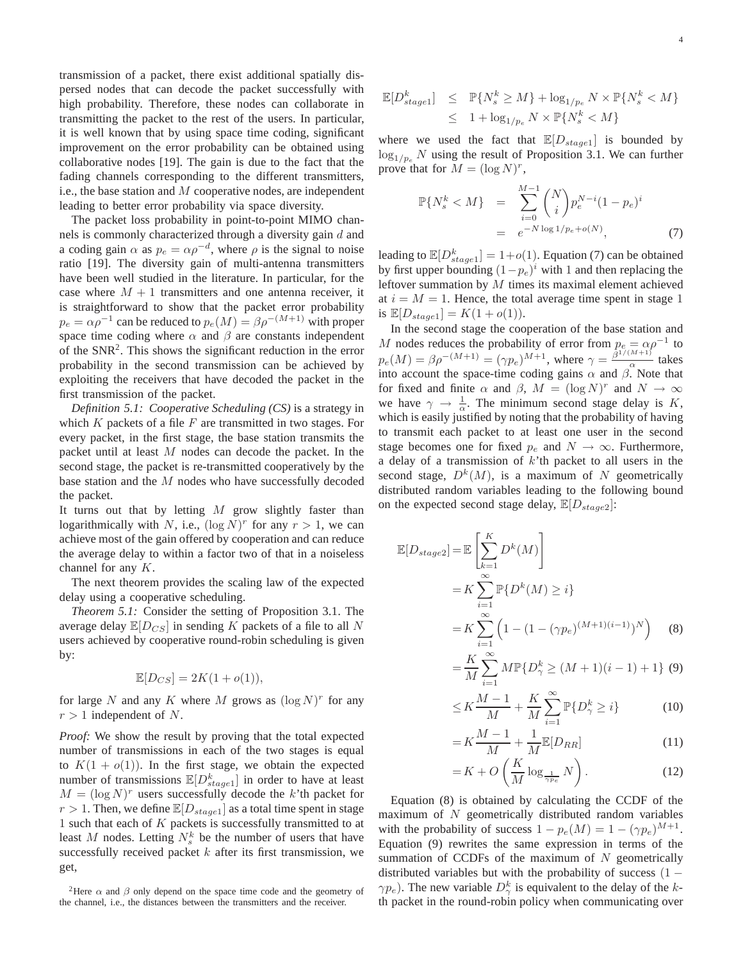transmission of a packet, there exist additional spatially dispersed nodes that can decode the packet successfully with high probability. Therefore, these nodes can collaborate in transmitting the packet to the rest of the users. In particular, it is well known that by using space time coding, significant improvement on the error probability can be obtained using collaborative nodes [19]. The gain is due to the fact that the fading channels corresponding to the different transmitters, i.e., the base station and  $M$  cooperative nodes, are independent leading to better error probability via space diversity.

The packet loss probability in point-to-point MIMO channels is commonly characterized through a diversity gain d and a coding gain  $\alpha$  as  $p_e = \alpha \rho^{-d}$ , where  $\rho$  is the signal to noise ratio [19]. The diversity gain of multi-antenna transmitters have been well studied in the literature. In particular, for the case where  $M + 1$  transmitters and one antenna receiver, it is straightforward to show that the packet error probability  $p_e = \alpha \rho^{-1}$  can be reduced to  $p_e(M) = \beta \rho^{-(M+1)}$  with proper space time coding where  $\alpha$  and  $\beta$  are constants independent of the SNR<sup>2</sup>. This shows the significant reduction in the error probability in the second transmission can be achieved by exploiting the receivers that have decoded the packet in the first transmission of the packet.

*Definition 5.1: Cooperative Scheduling (CS)* is a strategy in which  $K$  packets of a file  $F$  are transmitted in two stages. For every packet, in the first stage, the base station transmits the packet until at least M nodes can decode the packet. In the second stage, the packet is re-transmitted cooperatively by the base station and the M nodes who have successfully decoded the packet.

It turns out that by letting  $M$  grow slightly faster than logarithmically with N, i.e.,  $(\log N)^r$  for any  $r > 1$ , we can achieve most of the gain offered by cooperation and can reduce the average delay to within a factor two of that in a noiseless channel for any K.

The next theorem provides the scaling law of the expected delay using a cooperative scheduling.

*Theorem 5.1:* Consider the setting of Proposition 3.1. The average delay  $\mathbb{E}[D_{CS}]$  in sending K packets of a file to all N users achieved by cooperative round-robin scheduling is given by:

$$
\mathbb{E}[D_{CS}] = 2K(1 + o(1)),
$$

for large N and any K where M grows as  $(\log N)^r$  for any  $r > 1$  independent of N.

*Proof:* We show the result by proving that the total expected number of transmissions in each of the two stages is equal to  $K(1 + o(1))$ . In the first stage, we obtain the expected number of transmissions  $\mathbb{E}[D_{stage1}^k]$  in order to have at least  $M = (\log N)^r$  users successfully decode the k'th packet for  $r > 1$ . Then, we define  $\mathbb{E}[D_{stage1}]$  as a total time spent in stage 1 such that each of  $K$  packets is successfully transmitted to at least M nodes. Letting  $N_s^k$  be the number of users that have successfully received packet  $k$  after its first transmission, we get,

<sup>2</sup>Here  $\alpha$  and  $\beta$  only depend on the space time code and the geometry of the channel, i.e., the distances between the transmitters and the receiver.

$$
\begin{array}{lcl} \mathbb{E}[D^k_{stage1}] & \leq & \mathbb{P}\{N^k_s \geq M\} + \log_{1/pe} N \times \mathbb{P}\{N^k_s < M\} \\ & \leq & 1 + \log_{1/pe} N \times \mathbb{P}\{N^k_s < M\} \end{array}
$$

where we used the fact that  $\mathbb{E}[D_{stage1}]$  is bounded by  $\log_{1/p_e} N$  using the result of Proposition 3.1. We can further prove that for  $M = (\log N)^r$ ,

$$
\mathbb{P}\{N_s^k < M\} = \sum_{i=0}^{M-1} \binom{N}{i} p_e^{N-i} (1 - p_e)^i
$$
\n
$$
= e^{-N \log 1/p_e + o(N)}, \tag{7}
$$

leading to  $\mathbb{E}[D_{stage1}^k] = 1+o(1)$ . Equation (7) can be obtained by first upper bounding  $(1-p_e)^i$  with 1 and then replacing the leftover summation by M times its maximal element achieved at  $i = M = 1$ . Hence, the total average time spent in stage 1 is  $\mathbb{E}[D_{stage1}] = K(1 + o(1)).$ 

In the second stage the cooperation of the base station and M nodes reduces the probability of error from  $p_e = \alpha \rho^{-1}$  to  $p_e(M) = \beta \rho^{-(M+1)} = (\gamma p_e)^{M+1}$ , where  $\gamma = \frac{\beta^{1/(M+1)}}{\alpha}$  $\frac{a}{\alpha}$  takes into account the space-time coding gains  $\alpha$  and  $\beta$ . Note that for fixed and finite  $\alpha$  and  $\beta$ ,  $M = (\log N)^r$  and  $N \to \infty$ we have  $\gamma \to \frac{1}{\alpha}$ . The minimum second stage delay is K, which is easily justified by noting that the probability of having to transmit each packet to at least one user in the second stage becomes one for fixed  $p_e$  and  $N \rightarrow \infty$ . Furthermore, a delay of a transmission of  $k$ 'th packet to all users in the second stage,  $D^{k}(M)$ , is a maximum of N geometrically distributed random variables leading to the following bound on the expected second stage delay,  $\mathbb{E}[D_{stage2}]$ :

$$
\mathbb{E}[D_{stage2}] = \mathbb{E}\left[\sum_{k=1}^{K} D^k(M)\right]
$$
  
=  $K \sum_{i=1}^{\infty} \mathbb{P}\{D^k(M) \ge i\}$   
=  $K \sum_{i=1}^{\infty} \left(1 - (1 - (\gamma p_e)^{(M+1)(i-1)})^N\right)$  (8)

$$
=\frac{K}{M}\sum_{i=1}^{\infty} M \mathbb{P}\{D_{\gamma}^{k} \ge (M+1)(i-1)+1\} (9)
$$

$$
\leq K \frac{M-1}{M} + \frac{K}{M} \sum_{i=1}^{\infty} \mathbb{P} \{ D_{\gamma}^{k} \geq i \}
$$
 (10)

$$
=K\frac{M-1}{M}+\frac{1}{M}\mathbb{E}[D_{RR}]
$$
\n(11)

$$
= K + O\left(\frac{K}{M}\log_{\frac{1}{\gamma p_e}} N\right). \tag{12}
$$

Equation (8) is obtained by calculating the CCDF of the maximum of  $N$  geometrically distributed random variables with the probability of success  $1 - p_e(M) = 1 - (\gamma p_e)^{M+1}$ . Equation (9) rewrites the same expression in terms of the summation of CCDFs of the maximum of  $N$  geometrically distributed variables but with the probability of success  $(1 \gamma p_e$ ). The new variable  $D_{\gamma}^k$  is equivalent to the delay of the kth packet in the round-robin policy when communicating over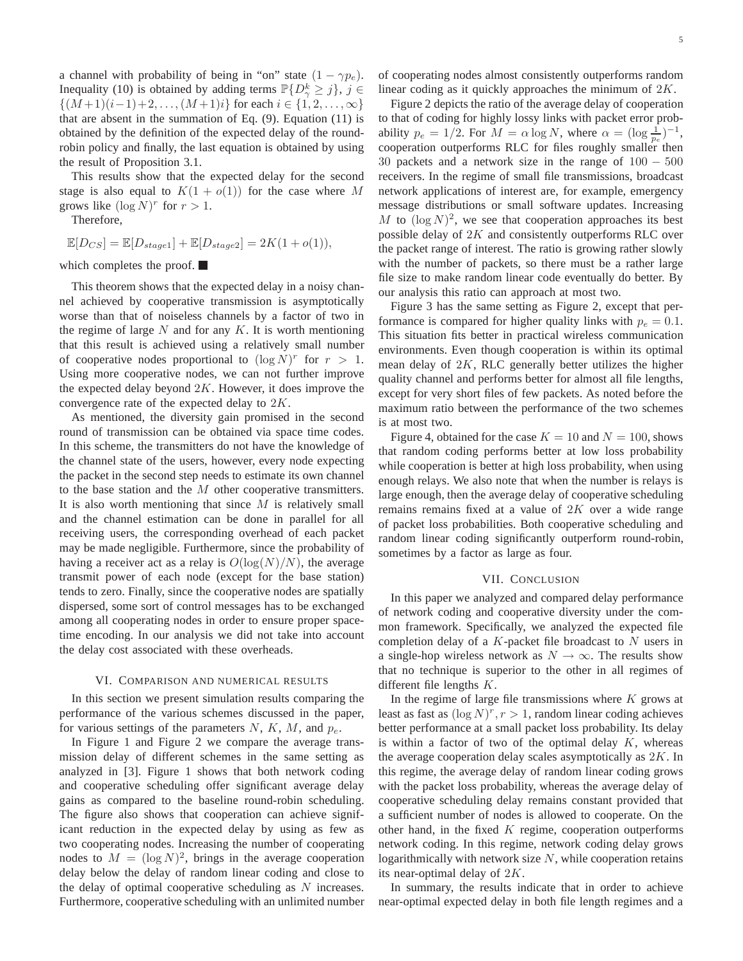a channel with probability of being in "on" state  $(1 - \gamma p_e)$ . Inequality (10) is obtained by adding terms  $\mathbb{P}\{D_{\gamma}^{k} \geq j\}$ ,  $j \in$  $\{(M+1)(i-1)+2,\ldots,(M+1)i\}$  for each  $i \in \{1,2,\ldots,\infty\}$ that are absent in the summation of Eq. (9). Equation (11) is obtained by the definition of the expected delay of the roundrobin policy and finally, the last equation is obtained by using the result of Proposition 3.1.

This results show that the expected delay for the second stage is also equal to  $K(1 + o(1))$  for the case where M grows like  $(\log N)^r$  for  $r > 1$ .

Therefore,

$$
\mathbb{E}[D_{CS}] = \mathbb{E}[D_{stage1}] + \mathbb{E}[D_{stage2}] = 2K(1+o(1)),
$$

which completes the proof.

This theorem shows that the expected delay in a noisy channel achieved by cooperative transmission is asymptotically worse than that of noiseless channels by a factor of two in the regime of large  $N$  and for any  $K$ . It is worth mentioning that this result is achieved using a relatively small number of cooperative nodes proportional to  $(\log N)^r$  for  $r > 1$ . Using more cooperative nodes, we can not further improve the expected delay beyond  $2K$ . However, it does improve the convergence rate of the expected delay to  $2K$ .

As mentioned, the diversity gain promised in the second round of transmission can be obtained via space time codes. In this scheme, the transmitters do not have the knowledge of the channel state of the users, however, every node expecting the packet in the second step needs to estimate its own channel to the base station and the  $M$  other cooperative transmitters. It is also worth mentioning that since  $M$  is relatively small and the channel estimation can be done in parallel for all receiving users, the corresponding overhead of each packet may be made negligible. Furthermore, since the probability of having a receiver act as a relay is  $O(\log(N)/N)$ , the average transmit power of each node (except for the base station) tends to zero. Finally, since the cooperative nodes are spatially dispersed, some sort of control messages has to be exchanged among all cooperating nodes in order to ensure proper spacetime encoding. In our analysis we did not take into account the delay cost associated with these overheads.

## VI. COMPARISON AND NUMERICAL RESULTS

In this section we present simulation results comparing the performance of the various schemes discussed in the paper, for various settings of the parameters  $N, K, M$ , and  $p_e$ .

In Figure 1 and Figure 2 we compare the average transmission delay of different schemes in the same setting as analyzed in [3]. Figure 1 shows that both network coding and cooperative scheduling offer significant average delay gains as compared to the baseline round-robin scheduling. The figure also shows that cooperation can achieve significant reduction in the expected delay by using as few as two cooperating nodes. Increasing the number of cooperating nodes to  $M = (\log N)^2$ , brings in the average cooperation delay below the delay of random linear coding and close to the delay of optimal cooperative scheduling as  $N$  increases. Furthermore, cooperative scheduling with an unlimited number of cooperating nodes almost consistently outperforms random linear coding as it quickly approaches the minimum of  $2K$ .

Figure 2 depicts the ratio of the average delay of cooperation to that of coding for highly lossy links with packet error probability  $p_e = 1/2$ . For  $M = \alpha \log N$ , where  $\alpha = (\log \frac{1}{p_e})^{-1}$ , cooperation outperforms RLC for files roughly smaller then 30 packets and a network size in the range of  $100 - 500$ receivers. In the regime of small file transmissions, broadcast network applications of interest are, for example, emergency message distributions or small software updates. Increasing M to  $(\log N)^2$ , we see that cooperation approaches its best possible delay of  $2K$  and consistently outperforms RLC over the packet range of interest. The ratio is growing rather slowly with the number of packets, so there must be a rather large file size to make random linear code eventually do better. By our analysis this ratio can approach at most two.

Figure 3 has the same setting as Figure 2, except that performance is compared for higher quality links with  $p_e = 0.1$ . This situation fits better in practical wireless communication environments. Even though cooperation is within its optimal mean delay of  $2K$ , RLC generally better utilizes the higher quality channel and performs better for almost all file lengths, except for very short files of few packets. As noted before the maximum ratio between the performance of the two schemes is at most two.

Figure 4, obtained for the case  $K = 10$  and  $N = 100$ , shows that random coding performs better at low loss probability while cooperation is better at high loss probability, when using enough relays. We also note that when the number is relays is large enough, then the average delay of cooperative scheduling remains remains fixed at a value of  $2K$  over a wide range of packet loss probabilities. Both cooperative scheduling and random linear coding significantly outperform round-robin, sometimes by a factor as large as four.

# VII. CONCLUSION

In this paper we analyzed and compared delay performance of network coding and cooperative diversity under the common framework. Specifically, we analyzed the expected file completion delay of a  $K$ -packet file broadcast to  $N$  users in a single-hop wireless network as  $N \to \infty$ . The results show that no technique is superior to the other in all regimes of different file lengths  $K$ .

In the regime of large file transmissions where  $K$  grows at least as fast as  $(\log N)^r$ ,  $r > 1$ , random linear coding achieves better performance at a small packet loss probability. Its delay is within a factor of two of the optimal delay  $K$ , whereas the average cooperation delay scales asymptotically as  $2K$ . In this regime, the average delay of random linear coding grows with the packet loss probability, whereas the average delay of cooperative scheduling delay remains constant provided that a sufficient number of nodes is allowed to cooperate. On the other hand, in the fixed  $K$  regime, cooperation outperforms network coding. In this regime, network coding delay grows logarithmically with network size  $N$ , while cooperation retains its near-optimal delay of 2K.

In summary, the results indicate that in order to achieve near-optimal expected delay in both file length regimes and a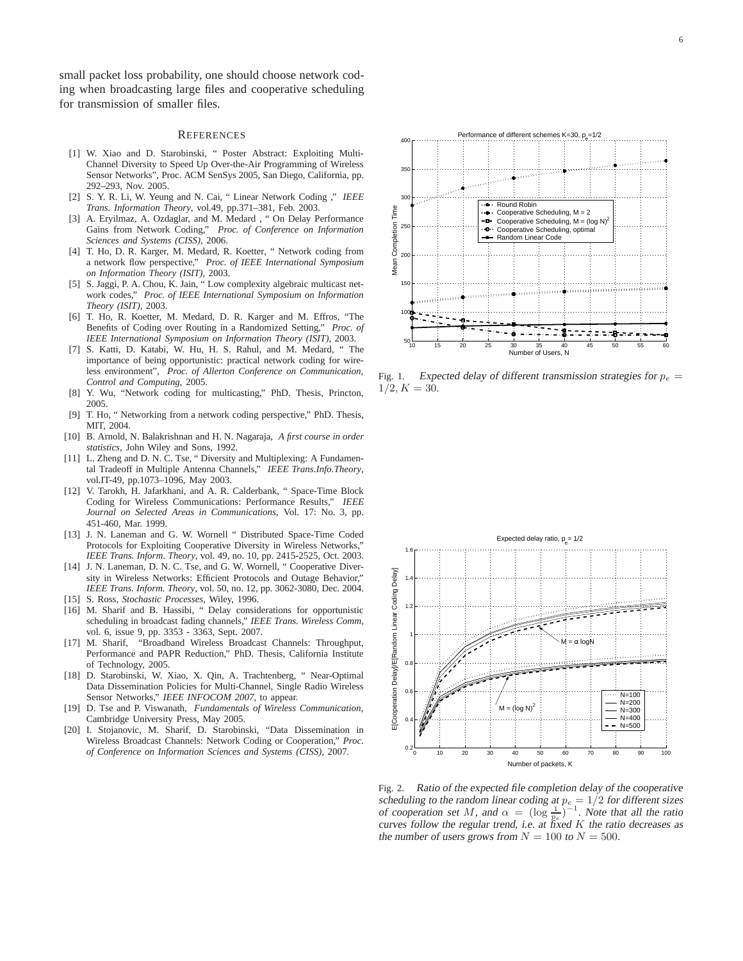small packet loss probability, one should choose network coding when broadcasting large files and cooperative scheduling for transmission of smaller files.

#### **REFERENCES**

- [1] W. Xiao and D. Starobinski, " Poster Abstract: Exploiting Multi-Channel Diversity to Speed Up Over-the-Air Programming of Wireless Sensor Networks", Proc. ACM SenSys 2005, San Diego, California, pp. 292–293, Nov. 2005.
- [2] S. Y. R. Li, W. Yeung and N. Cai, " Linear Network Coding ," *IEEE Trans. Information Theory*, vol.49, pp.371–381, Feb. 2003.
- [3] A. Eryilmaz, A. Ozdaglar, and M. Medard , " On Delay Performance Gains from Network Coding," *Proc. of Conference on Information Sciences and Systems (CISS),* 2006.
- [4] T. Ho, D. R. Karger, M. Medard, R. Koetter, " Network coding from a network flow perspective," *Proc. of IEEE International Symposium on Information Theory (ISIT),* 2003.
- [5] S. Jaggi, P. A. Chou, K. Jain, " Low complexity algebraic multicast network codes," *Proc. of IEEE International Symposium on Information Theory (ISIT),* 2003.
- [6] T. Ho, R. Koetter, M. Medard, D. R. Karger and M. Effros, "The Benefits of Coding over Routing in a Randomized Setting," *Proc. of IEEE International Symposium on Information Theory (ISIT),* 2003.
- [7] S. Katti, D. Katabi, W. Hu, H. S. Rahul, and M. Medard, " The importance of being opportunistic: practical network coding for wireless environment", *Proc. of Allerton Conference on Communication, Control and Computing,* 2005.
- [8] Y. Wu, "Network coding for multicasting," PhD. Thesis, Princton, 2005.
- [9] T. Ho, " Networking from a network coding perspective," PhD. Thesis, MIT, 2004.
- [10] B. Arnold, N. Balakrishnan and H. N. Nagaraja, *A first course in order statistics*, John Wiley and Sons, 1992.
- [11] L. Zheng and D. N. C. Tse, " Diversity and Multiplexing: A Fundamental Tradeoff in Multiple Antenna Channels," *IEEE Trans.Info.Theory*, vol.IT-49, pp.1073–1096, May 2003.
- [12] V. Tarokh, H. Jafarkhani, and A. R. Calderbank, " Space-Time Block Coding for Wireless Communications: Performance Results," *IEEE Journal on Selected Areas in Communications*, Vol. 17: No. 3, pp. 451-460, Mar. 1999.
- [13] J. N. Laneman and G. W. Wornell " Distributed Space-Time Coded Protocols for Exploiting Cooperative Diversity in Wireless Networks," *IEEE Trans. Inform. Theory*, vol. 49, no. 10, pp. 2415-2525, Oct. 2003.
- [14] J. N. Laneman, D. N. C. Tse, and G. W. Wornell, "Cooperative Diversity in Wireless Networks: Efficient Protocols and Outage Behavior," *IEEE Trans. Inform. Theory*, vol. 50, no. 12, pp. 3062-3080, Dec. 2004.
- [15] S. Ross, *Stochastic Processes*, Wiley, 1996.
- [16] M. Sharif and B. Hassibi, " Delay considerations for opportunistic scheduling in broadcast fading channels," *IEEE Trans. Wireless Comm*, vol. 6, issue 9, pp. 3353 - 3363, Sept. 2007.
- [17] M. Sharif, "Broadband Wireless Broadcast Channels: Throughput, Performance and PAPR Reduction," PhD. Thesis, California Institute of Technology, 2005.
- [18] D. Starobinski, W. Xiao, X. Qin, A. Trachtenberg, " Near-Optimal Data Dissemination Policies for Multi-Channel, Single Radio Wireless Sensor Networks," *IEEE INFOCOM 2007*, to appear.
- [19] D. Tse and P. Viswanath, *Fundamentals of Wireless Communication*, Cambridge University Press, May 2005.
- [20] I. Stojanovic, M. Sharif, D. Starobinski, "Data Dissemination in Wireless Broadcast Channels: Network Coding or Cooperation," *Proc. of Conference on Information Sciences and Systems (CISS),* 2007.



Fig. 1. Expected delay of different transmission strategies for  $p_e =$  $1/2, K = 30.$ 



Fig. 2. Ratio of the expected file completion delay of the cooperative scheduling to the random linear coding at  $p_e = 1/2$  for different sizes of cooperation set M, and  $\alpha = (\log \frac{1}{Re})^{-1}$ . Note that all the ratio curves follow the regular trend, i.e. at fixed  $K$  the ratio decreases as the number of users grows from  $N = 100$  to  $N = 500$ .